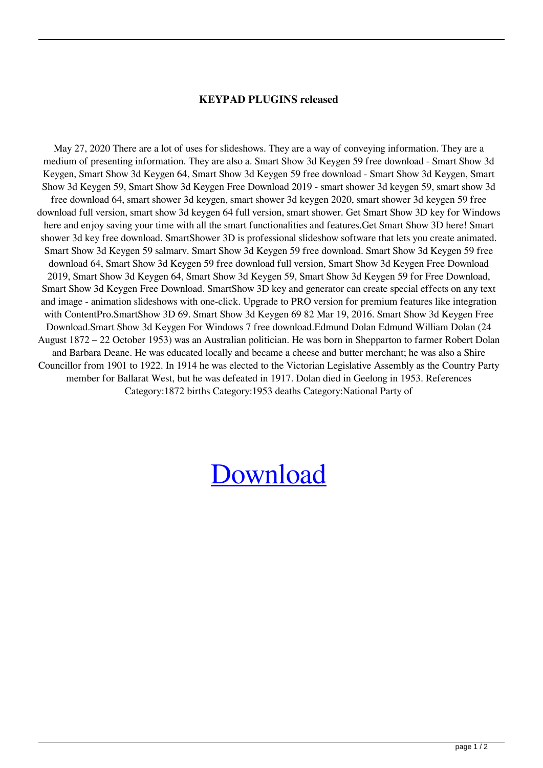## **KEYPAD PLUGINS released**

May 27, 2020 There are a lot of uses for slideshows. They are a way of conveying information. They are a medium of presenting information. They are also a. Smart Show 3d Keygen 59 free download - Smart Show 3d Keygen, Smart Show 3d Keygen 64, Smart Show 3d Keygen 59 free download - Smart Show 3d Keygen, Smart Show 3d Keygen 59, Smart Show 3d Keygen Free Download 2019 - smart shower 3d keygen 59, smart show 3d free download 64, smart shower 3d keygen, smart shower 3d keygen 2020, smart shower 3d keygen 59 free download full version, smart show 3d keygen 64 full version, smart shower. Get Smart Show 3D key for Windows here and enjoy saving your time with all the smart functionalities and features.Get Smart Show 3D here! Smart shower 3d key free download. SmartShower 3D is professional slideshow software that lets you create animated. Smart Show 3d Keygen 59 salmarv. Smart Show 3d Keygen 59 free download. Smart Show 3d Keygen 59 free download 64, Smart Show 3d Keygen 59 free download full version, Smart Show 3d Keygen Free Download 2019, Smart Show 3d Keygen 64, Smart Show 3d Keygen 59, Smart Show 3d Keygen 59 for Free Download, Smart Show 3d Keygen Free Download. SmartShow 3D key and generator can create special effects on any text and image - animation slideshows with one-click. Upgrade to PRO version for premium features like integration with ContentPro.SmartShow 3D 69. Smart Show 3d Keygen 69 82 Mar 19, 2016. Smart Show 3d Keygen Free Download.Smart Show 3d Keygen For Windows 7 free download.Edmund Dolan Edmund William Dolan (24 August 1872 – 22 October 1953) was an Australian politician. He was born in Shepparton to farmer Robert Dolan and Barbara Deane. He was educated locally and became a cheese and butter merchant; he was also a Shire Councillor from 1901 to 1922. In 1914 he was elected to the Victorian Legislative Assembly as the Country Party member for Ballarat West, but he was defeated in 1917. Dolan died in Geelong in 1953. References Category:1872 births Category:1953 deaths Category:National Party of